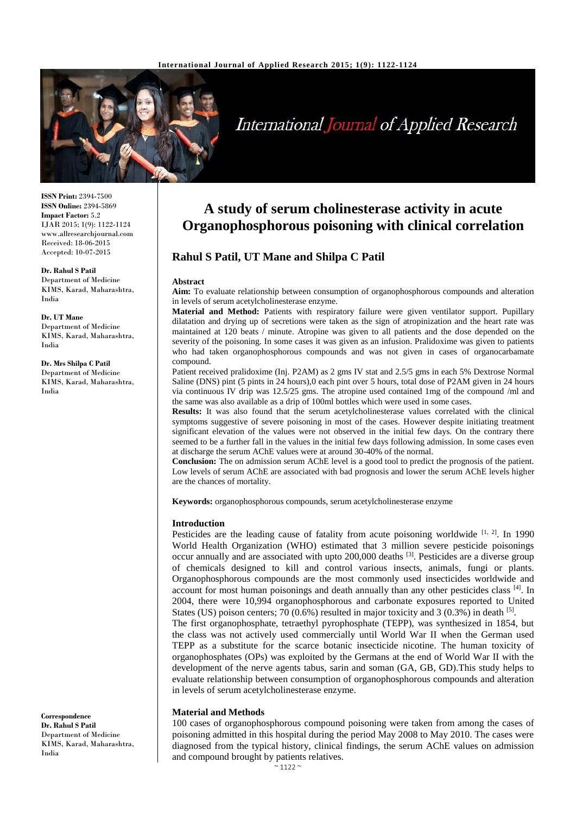

# **International Journal of Applied Research**

**ISSN Print:** 2394-7500 **ISSN Online:** 2394-5869 **Impact Factor:** 5.2 IJAR 2015; 1(9): 1122-1124 www.allresearchjournal.com Received: 18-06-2015 Accepted: 10-07-2015

**Dr. Rahul S Patil** Department of Medicine KIMS, Karad, Maharashtra, India

**Dr. UT Mane** Department of Medicine KIMS, Karad, Maharashtra, India

**Dr. Mrs Shilpa C Patil** Department of Medicine KIMS, Karad, Maharashtra, India

**A study of serum cholinesterase activity in acute Organophosphorous poisoning with clinical correlation**

## **Rahul S Patil, UT Mane and Shilpa C Patil**

#### **Abstract**

**Aim:** To evaluate relationship between consumption of organophosphorous compounds and alteration in levels of serum acetylcholinesterase enzyme.

**Material and Method:** Patients with respiratory failure were given ventilator support. Pupillary dilatation and drying up of secretions were taken as the sign of atropinization and the heart rate was maintained at 120 beats / minute. Atropine was given to all patients and the dose depended on the severity of the poisoning. In some cases it was given as an infusion. Pralidoxime was given to patients who had taken organophosphorous compounds and was not given in cases of organocarbamate compound.

Patient received pralidoxime (Inj. P2AM) as 2 gms IV stat and 2.5/5 gms in each 5% Dextrose Normal Saline (DNS) pint (5 pints in 24 hours),0 each pint over 5 hours, total dose of P2AM given in 24 hours via continuous IV drip was 12.5/25 gms. The atropine used contained 1mg of the compound /ml and the same was also available as a drip of 100ml bottles which were used in some cases.

**Results:** It was also found that the serum acetylcholinesterase values correlated with the clinical symptoms suggestive of severe poisoning in most of the cases. However despite initiating treatment significant elevation of the values were not observed in the initial few days. On the contrary there seemed to be a further fall in the values in the initial few days following admission. In some cases even at discharge the serum AChE values were at around 30-40% of the normal.

**Conclusion:** The on admission serum AChE level is a good tool to predict the prognosis of the patient. Low levels of serum AChE are associated with bad prognosis and lower the serum AChE levels higher are the chances of mortality.

**Keywords:** organophosphorous compounds, serum acetylcholinesterase enzyme

#### **Introduction**

Pesticides are the leading cause of fatality from acute poisoning worldwide [1, 2]. In 1990 World Health Organization (WHO) estimated that 3 million severe pesticide poisonings occur annually and are associated with upto 200,000 deaths [3]. Pesticides are a diverse group of chemicals designed to kill and control various insects, animals, fungi or plants. Organophosphorous compounds are the most commonly used insecticides worldwide and account for most human poisonings and death annually than any other pesticides class [4]. In 2004, there were 10,994 organophosphorous and carbonate exposures reported to United States (US) poison centers; 70 (0.6%) resulted in major toxicity and 3 (0.3%) in death  $[5]$ . The first organophosphate, tetraethyl pyrophosphate (TEPP), was synthesized in 1854, but the class was not actively used commercially until World War II when the German used TEPP as a substitute for the scarce botanic insecticide nicotine. The human toxicity of organophosphates (OPs) was exploited by the Germans at the end of World War II with the development of the nerve agents tabus, sarin and soman (GA, GB, GD).This study helps to evaluate relationship between consumption of organophosphorous compounds and alteration in levels of serum acetylcholinesterase enzyme.

#### **Material and Methods**

100 cases of organophosphorous compound poisoning were taken from among the cases of poisoning admitted in this hospital during the period May 2008 to May 2010. The cases were diagnosed from the typical history, clinical findings, the serum AChE values on admission and compound brought by patients relatives.

**Correspondence Dr. Rahul S Patil** Department of Medicine KIMS, Karad, Maharashtra, India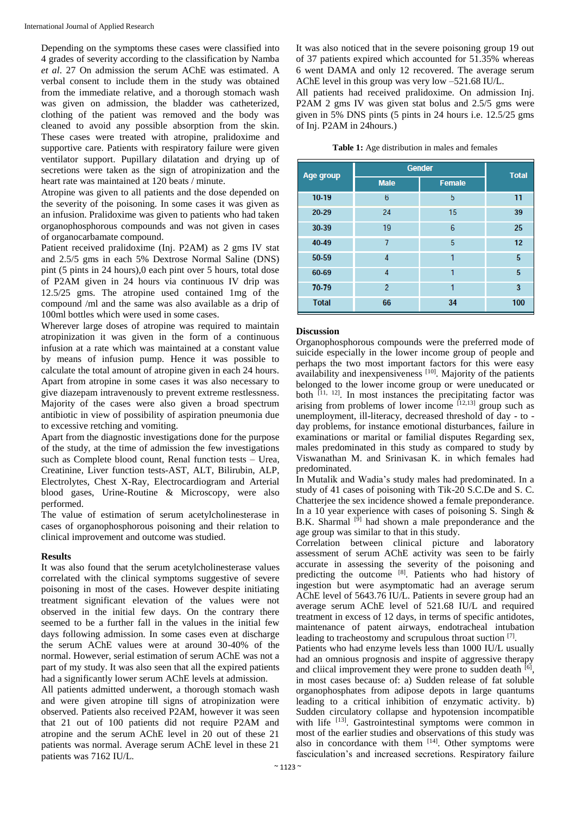Depending on the symptoms these cases were classified into 4 grades of severity according to the classification by Namba *et al*. 27 On admission the serum AChE was estimated. A verbal consent to include them in the study was obtained from the immediate relative, and a thorough stomach wash was given on admission, the bladder was catheterized, clothing of the patient was removed and the body was cleaned to avoid any possible absorption from the skin. These cases were treated with atropine, pralidoxime and supportive care. Patients with respiratory failure were given ventilator support. Pupillary dilatation and drying up of secretions were taken as the sign of atropinization and the heart rate was maintained at 120 beats / minute.

Atropine was given to all patients and the dose depended on the severity of the poisoning. In some cases it was given as an infusion. Pralidoxime was given to patients who had taken organophosphorous compounds and was not given in cases of organocarbamate compound.

Patient received pralidoxime (Inj. P2AM) as 2 gms IV stat and 2.5/5 gms in each 5% Dextrose Normal Saline (DNS) pint (5 pints in 24 hours),0 each pint over 5 hours, total dose of P2AM given in 24 hours via continuous IV drip was 12.5/25 gms. The atropine used contained 1mg of the compound /ml and the same was also available as a drip of 100ml bottles which were used in some cases.

Wherever large doses of atropine was required to maintain atropinization it was given in the form of a continuous infusion at a rate which was maintained at a constant value by means of infusion pump. Hence it was possible to calculate the total amount of atropine given in each 24 hours. Apart from atropine in some cases it was also necessary to give diazepam intravenously to prevent extreme restlessness. Majority of the cases were also given a broad spectrum antibiotic in view of possibility of aspiration pneumonia due to excessive retching and vomiting.

Apart from the diagnostic investigations done for the purpose of the study, at the time of admission the few investigations such as Complete blood count, Renal function tests – Urea, Creatinine, Liver function tests-AST, ALT, Bilirubin, ALP, Electrolytes, Chest X-Ray, Electrocardiogram and Arterial blood gases, Urine-Routine & Microscopy, were also performed.

The value of estimation of serum acetylcholinesterase in cases of organophosphorous poisoning and their relation to clinical improvement and outcome was studied.

#### **Results**

It was also found that the serum acetylcholinesterase values correlated with the clinical symptoms suggestive of severe poisoning in most of the cases. However despite initiating treatment significant elevation of the values were not observed in the initial few days. On the contrary there seemed to be a further fall in the values in the initial few days following admission. In some cases even at discharge the serum AChE values were at around 30-40% of the normal. However, serial estimation of serum AChE was not a part of my study. It was also seen that all the expired patients had a significantly lower serum AChE levels at admission.

All patients admitted underwent, a thorough stomach wash and were given atropine till signs of atropinization were observed. Patients also received P2AM, however it was seen that 21 out of 100 patients did not require P2AM and atropine and the serum AChE level in 20 out of these 21 patients was normal. Average serum AChE level in these 21 patients was 7162 IU/L.

It was also noticed that in the severe poisoning group 19 out of 37 patients expired which accounted for 51.35% whereas 6 went DAMA and only 12 recovered. The average serum AChE level in this group was very low –521.68 IU/L.

All patients had received pralidoxime. On admission Inj. P2AM 2 gms IV was given stat bolus and 2.5/5 gms were given in 5% DNS pints (5 pints in 24 hours i.e. 12.5/25 gms of Inj. P2AM in 24hours.)

| <b>Table 1:</b> Age distribution in males and females |  |  |
|-------------------------------------------------------|--|--|
|-------------------------------------------------------|--|--|

| Age group    | <b>Gender</b>  |               | <b>Total</b> |
|--------------|----------------|---------------|--------------|
|              | <b>Male</b>    | <b>Female</b> |              |
| 10-19        | 6              | 5             | 11           |
| 20-29        | 24             | 15            | 39           |
| 30-39        | 19             | 6             | 25           |
| 40-49        |                | 5             | 12           |
| 50-59        | 4              | 1             | 5            |
| 60-69        | 4              | 1             | 5            |
| 70-79        | $\overline{2}$ | 1             | 3            |
| <b>Total</b> | 66             | 34            | 100          |

#### **Discussion**

Organophosphorous compounds were the preferred mode of suicide especially in the lower income group of people and perhaps the two most important factors for this were easy availability and inexpensiveness [10]. Majority of the patients belonged to the lower income group or were uneducated or both [11, 12]. In most instances the precipitating factor was arising from problems of lower income  $[12,13]$  group such as unemployment, ill-literacy, decreased threshold of day - to day problems, for instance emotional disturbances, failure in examinations or marital or familial disputes Regarding sex, males predominated in this study as compared to study by Viswanathan M. and Srinivasan K. in which females had predominated.

In Mutalik and Wadia's study males had predominated. In a study of 41 cases of poisoning with Tik-20 S.C.De and S. C. Chatterjee the sex incidence showed a female preponderance. In a 10 year experience with cases of poisoning S. Singh  $\&$ B.K. Sharmal <sup>[9]</sup> had shown a male preponderance and the age group was similar to that in this study.

Correlation between clinical picture and laboratory assessment of serum AChE activity was seen to be fairly accurate in assessing the severity of the poisoning and predicting the outcome [8]. Patients who had history of ingestion but were asymptomatic had an average serum AChE level of 5643.76 IU/L. Patients in severe group had an average serum AChE level of 521.68 IU/L and required treatment in excess of 12 days, in terms of specific antidotes, maintenance of patent airways, endotracheal intubation leading to tracheostomy and scrupulous throat suction [7].

Patients who had enzyme levels less than 1000 IU/L usually had an omnious prognosis and inspite of aggressive therapy and cliical improvement they were prone to sudden death  $[6]$ , in most cases because of: a) Sudden release of fat soluble organophosphates from adipose depots in large quantums leading to a critical inhibition of enzymatic activity. b) Sudden circulatory collapse and hypotension incompatible with life <sup>[13]</sup>. Gastrointestinal symptoms were common in most of the earlier studies and observations of this study was also in concordance with them  $[14]$ . Other symptoms were fasciculation's and increased secretions. Respiratory failure